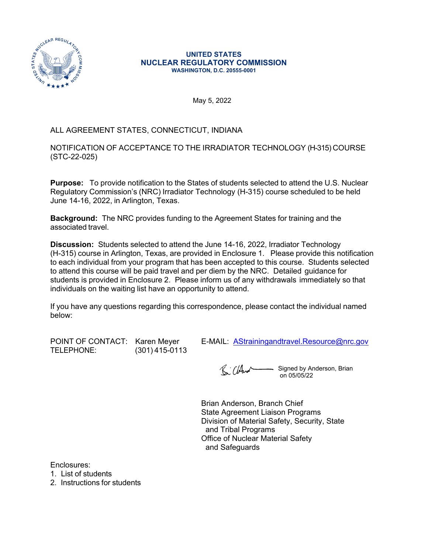

#### **UNITED STATES NUCLEAR REGULATORY COMMISSION WASHINGTON, D.C. 20555-0001**

May 5, 2022

## ALL AGREEMENT STATES, CONNECTICUT, INDIANA

NOTIFICATION OF ACCEPTANCE TO THE IRRADIATOR TECHNOLOGY (H-315) COURSE (STC-22-025)

**Purpose:** To provide notification to the States of students selected to attend the U.S. Nuclear Regulatory Commission's (NRC) Irradiator Technology (H-315) course scheduled to be held June 14-16, 2022, in Arlington, Texas.

**Background:** The NRC provides funding to the Agreement States for training and the associated travel.

**Discussion:** Students selected to attend the June 14-16, 2022, Irradiator Technology (H-315) course in Arlington, Texas, are provided in Enclosure 1. Please provide this notification to each individual from your program that has been accepted to this course. Students selected to attend this course will be paid travel and per diem by the NRC. Detailed guidance for students is provided in Enclosure 2. Please inform us of any withdrawals immediately so that individuals on the waiting list have an opportunity to attend.

If you have any questions regarding this correspondence, please contact the individual named below:

TELEPHONE: (301) 415-0113

POINT OF CONTACT: Karen Meyer E-MAIL: AStrainingandtravel.Resource[@nrc.gov](mailto:rcia.Casby@nrc.gov)

R: Cland Signed by Anderson, Brian on 05/05/22

Brian Anderson, Branch Chief State Agreement Liaison Programs Division of Material Safety, Security, State and Tribal Programs Office of Nuclear Material Safety and Safeguards

Enclosures:

1. List of students

2. Instructions for students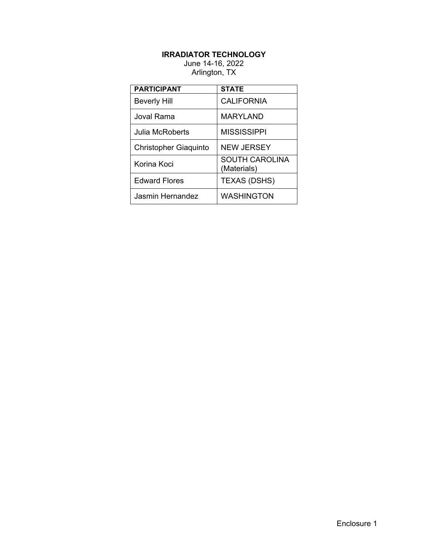# **IRRADIATOR TECHNOLOGY**

### June 14-16, 2022 Arlington, TX

| <b>PARTICIPANT</b>           | <b>STATE</b>                         |
|------------------------------|--------------------------------------|
| <b>Beverly Hill</b>          | <b>CALIFORNIA</b>                    |
| Joval Rama.                  | MARYLAND                             |
| Julia McRoberts              | <b>MISSISSIPPI</b>                   |
| <b>Christopher Giaquinto</b> | <b>NEW JERSEY</b>                    |
| Korina Koci                  | <b>SOUTH CAROLINA</b><br>(Materials) |
| <b>Edward Flores</b>         | <b>TEXAS (DSHS)</b>                  |
| Jasmin Hernandez             | <b>WASHINGTON</b>                    |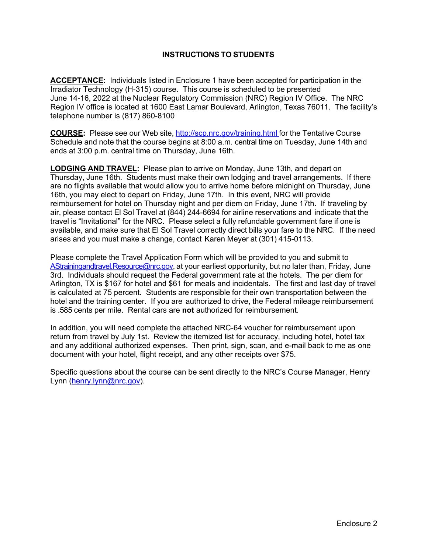### **INSTRUCTIONS TO STUDENTS**

**ACCEPTANCE:** Individuals listed in Enclosure 1 have been accepted for participation in the Irradiator Technology (H-315) course. This course is scheduled to be presented June 14-16, 2022 at the Nuclear Regulatory Commission (NRC) Region IV Office. The NRC Region IV office is located at 1600 East Lamar Boulevard, Arlington, Texas 76011. The facility's telephone number is (817) 860-8100

**COURSE:** Please see our Web site, <http://scp.nrc.gov/training.html>for the Tentative Course Schedule and note that the course begins at 8:00 a.m. central time on Tuesday, June 14th and ends at 3:00 p.m. central time on Thursday, June 16th.

**LODGING AND TRAVEL:** Please plan to arrive on Monday, June 13th, and depart on Thursday, June 16th. Students must make their own lodging and travel arrangements. If there are no flights available that would allow you to arrive home before midnight on Thursday, June 16th, you may elect to depart on Friday, June 17th. In this event, NRC will provide reimbursement for hotel on Thursday night and per diem on Friday, June 17th. If traveling by air, please contact El Sol Travel at (844) 244-6694 for airline reservations and indicate that the travel is "Invitational" for the NRC. Please select a fully refundable government fare if one is available, and make sure that El Sol Travel correctly direct bills your fare to the NRC. If the need arises and you must make a change, contact Karen Meyer at (301) 415-0113.

Please complete the Travel Application Form which will be provided to you and submit to [AStrainingandtravel.Resource@nrc.gov](mailto:AStrainingandtravel.Resource@nrc.gov), at your earliest opportunity, but no later than, Friday, June 3rd. Individuals should request the Federal government rate at the hotels. The per diem for Arlington, TX is \$167 for hotel and \$61 for meals and incidentals. The first and last day of travel is calculated at 75 percent. Students are responsible for their own transportation between the hotel and the training center. If you are authorized to drive, the Federal mileage reimbursement is .585 cents per mile. Rental cars are **not** authorized for reimbursement.

In addition, you will need complete the attached NRC-64 voucher for reimbursement upon return from travel by July 1st. Review the itemized list for accuracy, including hotel, hotel tax and any additional authorized expenses. Then print, sign, scan, and e-mail back to me as one document with your hotel, flight receipt, and any other receipts over \$75.

Specific questions about the course can be sent directly to the NRC's Course Manager, Henry Lynn ([henry.lynn@nrc.gov\)](mailto:henry.lynn@nrc.gov).